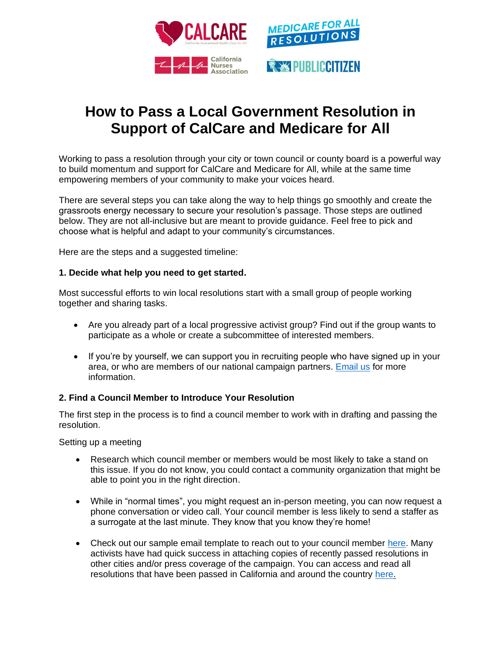

# **How to Pass a Local Government Resolution in Support of CalCare and Medicare for All**

Working to pass a resolution through your city or town council or county board is a powerful way to build momentum and support for CalCare and Medicare for All, while at the same time empowering members of your community to make your voices heard.

There are several steps you can take along the way to help things go smoothly and create the grassroots energy necessary to secure your resolution's passage. Those steps are outlined below. They are not all-inclusive but are meant to provide guidance. Feel free to pick and choose what is helpful and adapt to your community's circumstances.

Here are the steps and a suggested timeline:

## **1. Decide what help you need to get started.**

Most successful efforts to win local resolutions start with a small group of people working together and sharing tasks.

- Are you already part of a local progressive activist group? Find out if the group wants to participate as a whole or create a subcommittee of interested members.
- If you're by yourself, we can support you in recruiting people who have signed up in your area, or who are members of our national campaign partners. [Email us](mailto:BSHANNAHAN@CITIZEN.ORG) for more information.

## **2. Find a Council Member to Introduce Your Resolution**

The first step in the process is to find a council member to work with in drafting and passing the resolution.

Setting up a meeting

- Research which council member or members would be most likely to take a stand on this issue. If you do not know, you could contact a community organization that might be able to point you in the right direction.
- While in "normal times", you might request an in-person meeting, you can now request a phone conversation or video call. Your council member is less likely to send a staffer as a surrogate at the last minute. They know that you know they're home!
- Check out our sample email template to reach out to your council member [here.](https://docs.google.com/document/d/1ssNEbADwHsHG4_imYX0bsPRjBBh6rvtp/edit) Many activists have had quick success in attaching copies of recently passed resolutions in other cities and/or press coverage of the campaign. You can access and read all resolutions that have been passed in California and around the country [here.](https://www.medicare4allresolutions.org/is-a-local-resolution-already-underway-in-your-community/)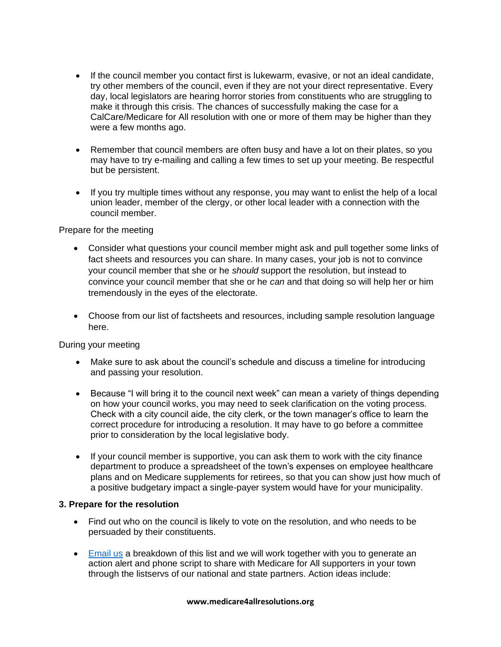- If the council member you contact first is lukewarm, evasive, or not an ideal candidate, try other members of the council, even if they are not your direct representative. Every day, local legislators are hearing horror stories from constituents who are struggling to make it through this crisis. The chances of successfully making the case for a CalCare/Medicare for All resolution with one or more of them may be higher than they were a few months ago.
- Remember that council members are often busy and have a lot on their plates, so you may have to try e-mailing and calling a few times to set up your meeting. Be respectful but be persistent.
- If you try multiple times without any response, you may want to enlist the help of a local union leader, member of the clergy, or other local leader with a connection with the council member.

Prepare for the meeting

- Consider what questions your council member might ask and pull together some links of fact sheets and resources you can share. In many cases, your job is not to convince your council member that she or he *should* support the resolution, but instead to convince your council member that she or he *can* and that doing so will help her or him tremendously in the eyes of the electorate.
- Choose from our list of factsheets and resources, including sample resolution language here.

During your meeting

- Make sure to ask about the council's schedule and discuss a timeline for introducing and passing your resolution.
- Because "I will bring it to the council next week" can mean a variety of things depending on how your council works, you may need to seek clarification on the voting process. Check with a city council aide, the city clerk, or the town manager's office to learn the correct procedure for introducing a resolution. It may have to go before a committee prior to consideration by the local legislative body.
- If your council member is supportive, you can ask them to work with the city finance department to produce a spreadsheet of the town's expenses on employee healthcare plans and on Medicare supplements for retirees, so that you can show just how much of a positive budgetary impact a single-payer system would have for your municipality.

## **3. Prepare for the resolution**

- Find out who on the council is likely to vote on the resolution, and who needs to be persuaded by their constituents.
- [Email us](mailto:bshannahan@citizen.org) a breakdown of this list and we will work together with you to generate an action alert and phone script to share with Medicare for All supporters in your town through the listservs of our national and state partners. Action ideas include:

#### **www.medicare4allresolutions.org**